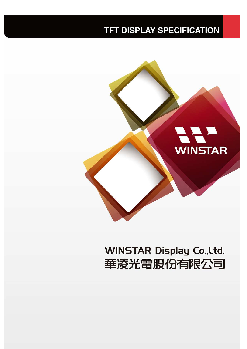## **TFT DISPLAY SPECIFICATION**



# **WINSTAR Display Co., Ltd.** 華凌光電股份有限公司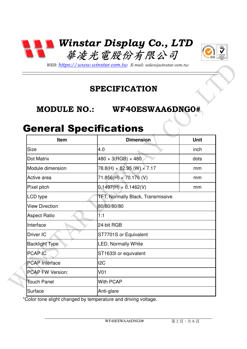



*WEB: https://www.winstar.com.tw E-mail: sales@winstar.com.tw*

### **SPECIFICATION**

#### **MODULE NO.: WF40ESWAA6DNG0#**

### General Specifications

| <b>Item</b>             | <b>Dimension</b>                  | Unit |  |
|-------------------------|-----------------------------------|------|--|
| <b>Size</b>             | 4.0                               | inch |  |
| Dot Matrix              | $480 \times 3(RGB) \times 480$    | dots |  |
| Module dimension        | 78.8(H) × 82.95 (W) × 7.17        | mm   |  |
| Active area             | 71.856(H) × 70.176 (V)            | mm   |  |
| Pixel pitch             | $0.1497(H) \times 0.1462(V)$      | mm   |  |
| LCD type                | TFT, Normally Black, Transmissive |      |  |
| <b>View Direction</b>   | 80/80/80/80                       |      |  |
| <b>Aspect Ratio</b>     | 1:1                               |      |  |
| Interface               | 24-bit RGB                        |      |  |
| Driver IC               | ST7701S or Equivalent             |      |  |
| <b>Backlight Type</b>   | <b>LED, Normally White</b>        |      |  |
| <b>PCAP IC</b>          | ST1633I or equivalent             |      |  |
| <b>PCAP</b> Interface   | I <sub>2</sub> C                  |      |  |
| <b>PCAP FW Version:</b> | V <sub>01</sub>                   |      |  |
| <b>Touch Panel</b>      | <b>With PCAP</b>                  |      |  |
| Surface                 | Anti-glare                        |      |  |

\*Color tone slight changed by temperature and driving voltage.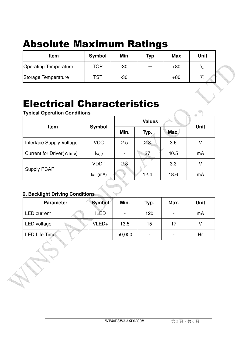# Absolute Maximum Ratings

| <b>Item</b>                  | <b>Symbol</b> | Min   | <b>Typ</b> | <b>Max</b> | Unit   |  |
|------------------------------|---------------|-------|------------|------------|--------|--|
| <b>Operating Temperature</b> | TOP           | $-30$ |            | $+80$      | $\sim$ |  |
| Storage Temperature          | TST           | $-30$ |            | $+80$      | $\sim$ |  |

## Electrical Characteristics

**Typical Operation Conditions** 

| .                                |                           | <b>Values</b> |      |      |             |  |
|----------------------------------|---------------------------|---------------|------|------|-------------|--|
| <b>Item</b>                      | <b>Symbol</b>             | Min.          | Typ. | Max. | <b>Unit</b> |  |
| Interface Supply Voltage         | <b>VCC</b>                | 2.5           | 2.8  | 3.6  | ٧           |  |
| <b>Current for Driver(White)</b> | <b>I</b> vcc              |               | 27   | 40.5 | mA          |  |
|                                  | <b>VDDT</b>               | 2.8           |      | 3.3  | V           |  |
| <b>Supply PCAP</b>               | $l$ <sub>CTP</sub> $(mA)$ |               | 12.4 | 18.6 | mA          |  |

#### **2. Backlight Driving Conditions**

| <b>Parameter</b>     | <b>Symbol</b> | Min.   | Typ.                     | Max.                     | <b>Unit</b> |
|----------------------|---------------|--------|--------------------------|--------------------------|-------------|
| LED current          | <b>ILED</b>   |        | 120                      | $\overline{\phantom{0}}$ | mA          |
| LED voltage          | VLED+         | 13.5   | 15                       | 17                       |             |
| <b>LED Life Time</b> |               | 50,000 | $\overline{\phantom{0}}$ | $\overline{\phantom{0}}$ | Hr          |

 $\oplus$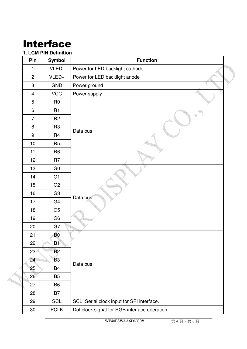# Interface

#### **1. LCM PIN Definition**

| Pin            | <b>Symbol</b>  | <b>Function</b>                              |
|----------------|----------------|----------------------------------------------|
| 1              | VLED-          | Power for LED backlight cathode              |
| $\overline{2}$ | VLED+          | Power for LED backlight anode                |
| 3              | <b>GND</b>     | Power ground                                 |
| $\overline{4}$ | <b>VCC</b>     | Power supply                                 |
| 5              | R <sub>0</sub> |                                              |
| $\,6\,$        | R <sub>1</sub> |                                              |
| $\overline{7}$ | R <sub>2</sub> |                                              |
| $\bf 8$        | R <sub>3</sub> | Data bus                                     |
| $9\,$          | R <sub>4</sub> |                                              |
| 10             | R <sub>5</sub> |                                              |
| 11             | R <sub>6</sub> |                                              |
| 12             | R <sub>7</sub> |                                              |
| 13             | G <sub>0</sub> |                                              |
| 14             | G1             |                                              |
| 15             | G <sub>2</sub> |                                              |
| 16             | G <sub>3</sub> |                                              |
| 17             | G <sub>4</sub> | Data bus                                     |
| 18             | G <sub>5</sub> |                                              |
| 19             | G <sub>6</sub> |                                              |
| 20             | G7             |                                              |
| 21             | <b>B0</b>      |                                              |
| 22             | <b>B1</b>      |                                              |
| 23             | <b>B2</b>      |                                              |
| 24             | <b>B3</b>      |                                              |
| 25             | <b>B4</b>      | Data bus                                     |
| 26             | <b>B5</b>      |                                              |
| 27             | B <sub>6</sub> |                                              |
| 28             | B7             |                                              |
| 29             | <b>SCL</b>     | SCL: Serial clock input for SPI interface.   |
| 30             | <b>PCLK</b>    | Dot clock signal for RGB interface operation |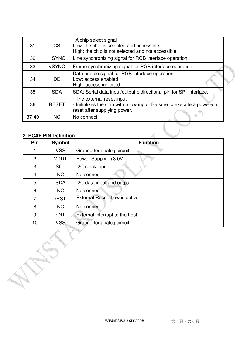| 31        | <b>CS</b>    | - A chip select signal<br>Low: the chip is selected and accessible<br>High: the chip is not selected and not accessible              |
|-----------|--------------|--------------------------------------------------------------------------------------------------------------------------------------|
| 32        | <b>HSYNC</b> | Line synchronizing signal for RGB interface operation                                                                                |
| 33        | <b>VSYNC</b> | Frame synchronizing signal for RGB interface operation                                                                               |
| 34        | DE.          | Data enable signal for RGB interface operation<br>Low: access enabled<br>High: access inhibited                                      |
| 35        | <b>SDA</b>   | SDA: Serial data input/output bidirectional pin for SPI Interface.                                                                   |
| 36        | <b>RESET</b> | - The external reset input<br>- Initializes the chip with a low input. Be sure to execute a power-on<br>reset after supplying power. |
| $37 - 40$ | <b>NC</b>    | No connect                                                                                                                           |
|           |              |                                                                                                                                      |

#### **2. PCAP PIN Definition**

<u>radi</u>

**Command** 

|                | 2. PCAP PIN Definition |                                |
|----------------|------------------------|--------------------------------|
| Pin            | <b>Symbol</b>          | <b>Function</b>                |
|                | <b>VSS</b>             | Ground for analog circuit      |
| $\overline{2}$ | <b>VDDT</b>            | Power Supply: +3.0V            |
| 3              | <b>SCL</b>             | I2C clock input                |
| 4              | <b>NC</b>              | No connect                     |
| 5              | <b>SDA</b>             | I2C data input and output      |
| 6              | <b>NC</b>              | No connect                     |
| 7              | /RST                   | External Reset, Low is active  |
| 8              | <b>NC</b>              | No connect                     |
| 9              | /INT                   | External interrupt to the host |
| 10             | <b>VSS</b>             | Ground for analog circuit      |